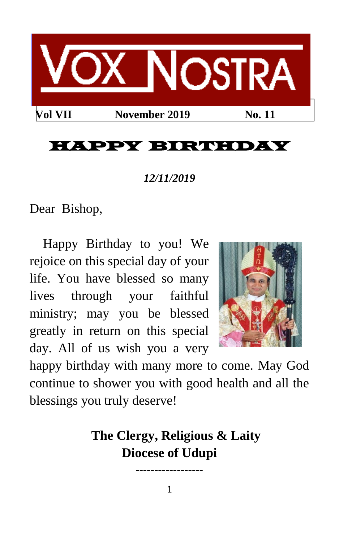

# HAPPY BIRTHDAY

#### *12/11/2019*

Dear Bishop,

Happy Birthday to you! We rejoice on this special day of your life. You have blessed so many lives through your faithful ministry; may you be blessed greatly in return on this special day. All of us wish you a very



happy birthday with many more to come. May God continue to shower you with good health and all the blessings you truly deserve!

> **The Clergy, Religious & Laity Diocese of Udupi**

**------------------**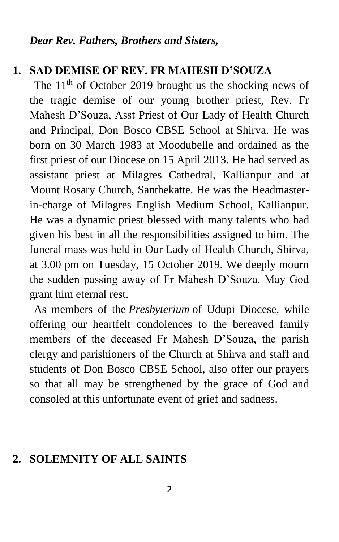#### **1. SAD DEMISE OF REV. FR MAHESH D'SOUZA**

The  $11<sup>th</sup>$  of October 2019 brought us the shocking news of the tragic demise of our young brother priest, Rev. Fr Mahesh D'Souza, Asst Priest of Our Lady of Health Church and Principal, Don Bosco CBSE School at Shirva. He was born on 30 March 1983 at Moodubelle and ordained as the first priest of our Diocese on 15 April 2013. He had served as assistant priest at Milagres Cathedral, Kallianpur and at Mount Rosary Church, Santhekatte. He was the Headmasterin-charge of Milagres English Medium School, Kallianpur. He was a dynamic priest blessed with many talents who had given his best in all the responsibilities assigned to him. The funeral mass was held in Our Lady of Health Church, Shirva, at 3.00 pm on Tuesday, 15 October 2019. We deeply mourn the sudden passing away of Fr Mahesh D'Souza. May God grant him eternal rest.

As members of the *Presbyterium* of Udupi Diocese, while offering our heartfelt condolences to the bereaved family members of the deceased Fr Mahesh D'Souza, the parish clergy and parishioners of the Church at Shirva and staff and students of Don Bosco CBSE School, also offer our prayers so that all may be strengthened by the grace of God and consoled at this unfortunate event of grief and sadness.

#### **2. SOLEMNITY OF ALL SAINTS**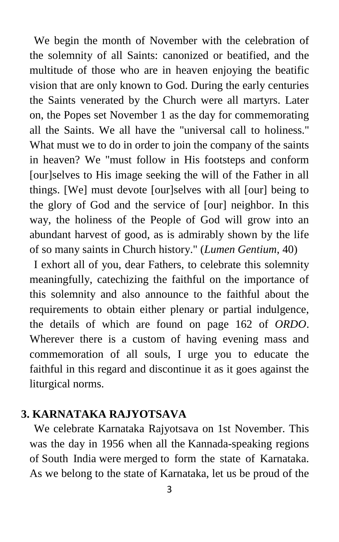We begin the month of November with the celebration of the solemnity of all Saints: canonized or beatified, and the multitude of those who are in heaven enjoying the beatific vision that are only known to God. During the early centuries the Saints venerated by the Church were all martyrs. Later on, the Popes set November 1 as the day for commemorating all the Saints. We all have the "universal call to holiness." What must we to do in order to join the company of the saints in heaven? We "must follow in His footsteps and conform [our]selves to His image seeking the will of the Father in all things. [We] must devote [our]selves with all [our] being to the glory of God and the service of [our] neighbor. In this way, the holiness of the People of God will grow into an abundant harvest of good, as is admirably shown by the life of so many saints in Church history." (*Lumen Gentium*, 40)

I exhort all of you, dear Fathers, to celebrate this solemnity meaningfully, catechizing the faithful on the importance of this solemnity and also announce to the faithful about the requirements to obtain either plenary or partial indulgence, the details of which are found on page 162 of *ORDO*. Wherever there is a custom of having evening mass and commemoration of all souls, I urge you to educate the faithful in this regard and discontinue it as it goes against the liturgical norms.

### **3. KARNATAKA RAJYOTSAVA**

We celebrate Karnataka Rajyotsava on 1st November. This was the day in 1956 when all the Kannada-speaking regions of South India were merged to form the state of Karnataka. As we belong to the state of Karnataka, let us be proud of the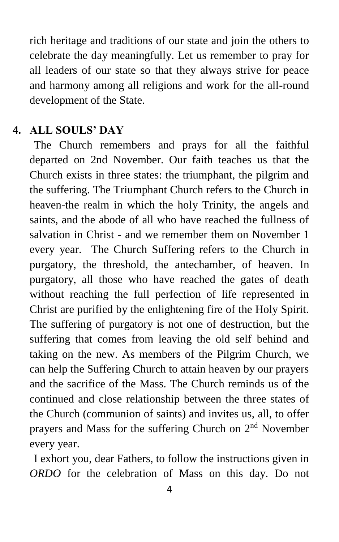rich heritage and traditions of our state and join the others to celebrate the day meaningfully. Let us remember to pray for all leaders of our state so that they always strive for peace and harmony among all religions and work for the all-round development of the State.

#### **4. ALL SOULS' DAY**

The Church remembers and prays for all the faithful departed on 2nd November. Our faith teaches us that the Church exists in three states: the triumphant, the pilgrim and the suffering. The Triumphant Church refers to the Church in heaven-the realm in which the holy Trinity, the angels and saints, and the abode of all who have reached the fullness of salvation in Christ - and we remember them on November 1 every year. The Church Suffering refers to the Church in purgatory, the threshold, the antechamber, of heaven. In purgatory, all those who have reached the gates of death without reaching the full perfection of life represented in Christ are purified by the enlightening fire of the Holy Spirit. The suffering of purgatory is not one of destruction, but the suffering that comes from leaving the old self behind and taking on the new. As members of the Pilgrim Church, we can help the Suffering Church to attain heaven by our prayers and the sacrifice of the Mass. The Church reminds us of the continued and close relationship between the three states of the Church (communion of saints) and invites us, all, to offer prayers and Mass for the suffering Church on  $2<sup>nd</sup>$  November every year.

I exhort you, dear Fathers, to follow the instructions given in *ORDO* for the celebration of Mass on this day. Do not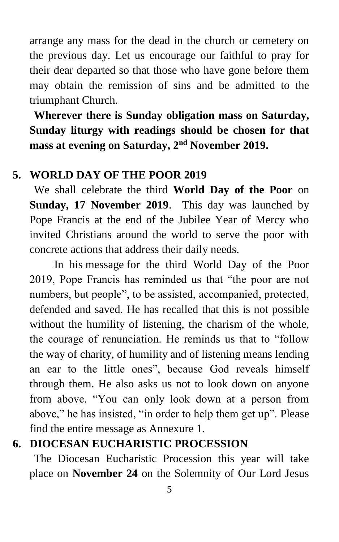arrange any mass for the dead in the church or cemetery on the previous day. Let us encourage our faithful to pray for their dear departed so that those who have gone before them may obtain the remission of sins and be admitted to the triumphant Church.

**Wherever there is Sunday obligation mass on Saturday, Sunday liturgy with readings should be chosen for that mass at evening on Saturday, 2nd November 2019.**

### **5. WORLD DAY OF THE POOR 2019**

We shall celebrate the third **World Day of the Poor** on **Sunday, 17 November 2019**. This day was launched by Pope Francis at the end of the Jubilee Year of Mercy who invited Christians around the world to serve the poor with concrete actions that address their daily needs.

In his message for the third World Day of the Poor 2019, Pope Francis has reminded us that "the poor are not numbers, but people", to be assisted, accompanied, protected, defended and saved. He has recalled that this is not possible without the humility of listening, the charism of the whole, the courage of renunciation. He reminds us that to "follow the way of charity, of humility and of listening means lending an ear to the little ones", because God reveals himself through them. He also asks us not to look down on anyone from above. "You can only look down at a person from above," he has insisted, "in order to help them get up". Please find the entire message as Annexure 1.

### **6. DIOCESAN EUCHARISTIC PROCESSION**

The Diocesan Eucharistic Procession this year will take place on **November 24** on the Solemnity of Our Lord Jesus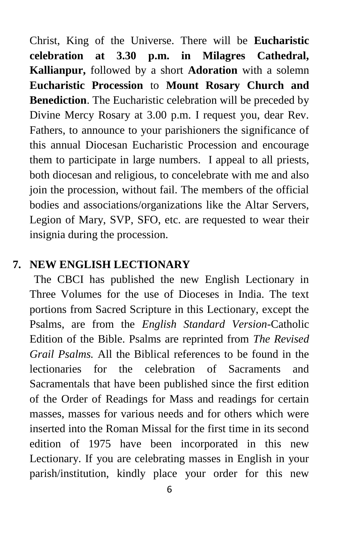Christ, King of the Universe. There will be **Eucharistic celebration at 3.30 p.m. in Milagres Cathedral, Kallianpur,** followed by a short **Adoration** with a solemn **Eucharistic Procession** to **Mount Rosary Church and Benediction**. The Eucharistic celebration will be preceded by Divine Mercy Rosary at 3.00 p.m. I request you, dear Rev. Fathers, to announce to your parishioners the significance of this annual Diocesan Eucharistic Procession and encourage them to participate in large numbers. I appeal to all priests, both diocesan and religious, to concelebrate with me and also join the procession, without fail. The members of the official bodies and associations/organizations like the Altar Servers, Legion of Mary, SVP, SFO, etc. are requested to wear their insignia during the procession.

### **7. NEW ENGLISH LECTIONARY**

The CBCI has published the new English Lectionary in Three Volumes for the use of Dioceses in India. The text portions from Sacred Scripture in this Lectionary, except the Psalms, are from the *English Standard Version*-Catholic Edition of the Bible. Psalms are reprinted from *The Revised Grail Psalms.* All the Biblical references to be found in the lectionaries for the celebration of Sacraments and Sacramentals that have been published since the first edition of the Order of Readings for Mass and readings for certain masses, masses for various needs and for others which were inserted into the Roman Missal for the first time in its second edition of 1975 have been incorporated in this new Lectionary. If you are celebrating masses in English in your parish/institution, kindly place your order for this new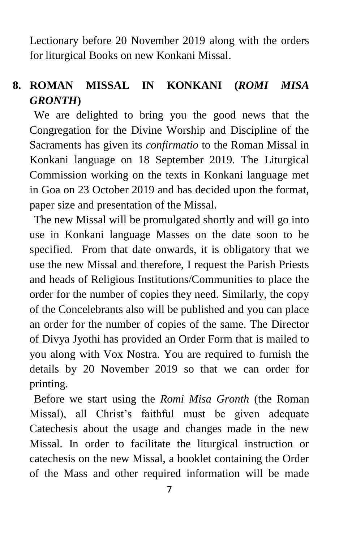Lectionary before 20 November 2019 along with the orders for liturgical Books on new Konkani Missal.

# **8. ROMAN MISSAL IN KONKANI (***ROMI MISA GRONTH***)**

We are delighted to bring you the good news that the Congregation for the Divine Worship and Discipline of the Sacraments has given its *confirmatio* to the Roman Missal in Konkani language on 18 September 2019. The Liturgical Commission working on the texts in Konkani language met in Goa on 23 October 2019 and has decided upon the format, paper size and presentation of the Missal.

The new Missal will be promulgated shortly and will go into use in Konkani language Masses on the date soon to be specified. From that date onwards, it is obligatory that we use the new Missal and therefore, I request the Parish Priests and heads of Religious Institutions/Communities to place the order for the number of copies they need. Similarly, the copy of the Concelebrants also will be published and you can place an order for the number of copies of the same. The Director of Divya Jyothi has provided an Order Form that is mailed to you along with Vox Nostra. You are required to furnish the details by 20 November 2019 so that we can order for printing.

Before we start using the *Romi Misa Gronth* (the Roman Missal), all Christ's faithful must be given adequate Catechesis about the usage and changes made in the new Missal. In order to facilitate the liturgical instruction or catechesis on the new Missal, a booklet containing the Order of the Mass and other required information will be made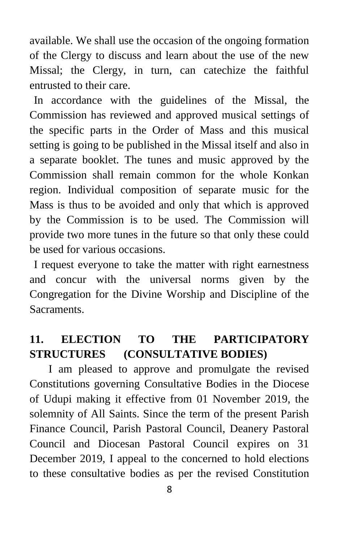available. We shall use the occasion of the ongoing formation of the Clergy to discuss and learn about the use of the new Missal; the Clergy, in turn, can catechize the faithful entrusted to their care.

In accordance with the guidelines of the Missal, the Commission has reviewed and approved musical settings of the specific parts in the Order of Mass and this musical setting is going to be published in the Missal itself and also in a separate booklet. The tunes and music approved by the Commission shall remain common for the whole Konkan region. Individual composition of separate music for the Mass is thus to be avoided and only that which is approved by the Commission is to be used. The Commission will provide two more tunes in the future so that only these could be used for various occasions.

I request everyone to take the matter with right earnestness and concur with the universal norms given by the Congregation for the Divine Worship and Discipline of the Sacraments.

## **11. ELECTION TO THE PARTICIPATORY STRUCTURES (CONSULTATIVE BODIES)**

I am pleased to approve and promulgate the revised Constitutions governing Consultative Bodies in the Diocese of Udupi making it effective from 01 November 2019, the solemnity of All Saints. Since the term of the present Parish Finance Council, Parish Pastoral Council, Deanery Pastoral Council and Diocesan Pastoral Council expires on 31 December 2019, I appeal to the concerned to hold elections to these consultative bodies as per the revised Constitution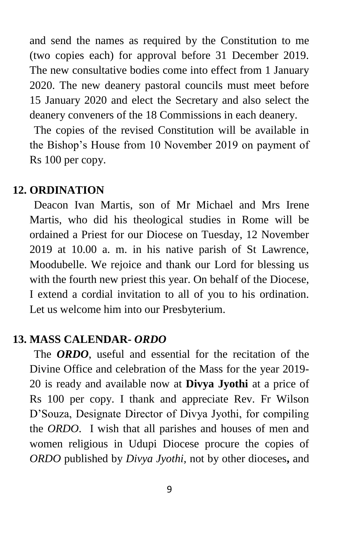and send the names as required by the Constitution to me (two copies each) for approval before 31 December 2019. The new consultative bodies come into effect from 1 January 2020. The new deanery pastoral councils must meet before 15 January 2020 and elect the Secretary and also select the deanery conveners of the 18 Commissions in each deanery.

The copies of the revised Constitution will be available in the Bishop's House from 10 November 2019 on payment of Rs 100 per copy.

#### **12. ORDINATION**

Deacon Ivan Martis, son of Mr Michael and Mrs Irene Martis, who did his theological studies in Rome will be ordained a Priest for our Diocese on Tuesday, 12 November 2019 at 10.00 a. m. in his native parish of St Lawrence, Moodubelle. We rejoice and thank our Lord for blessing us with the fourth new priest this year. On behalf of the Diocese, I extend a cordial invitation to all of you to his ordination. Let us welcome him into our Presbyterium.

#### **13. MASS CALENDAR-** *ORDO*

The **ORDO**, useful and essential for the recitation of the Divine Office and celebration of the Mass for the year 2019- 20 is ready and available now at **Divya Jyothi** at a price of Rs 100 per copy. I thank and appreciate Rev. Fr Wilson D'Souza, Designate Director of Divya Jyothi, for compiling the *ORDO*. I wish that all parishes and houses of men and women religious in Udupi Diocese procure the copies of *ORDO* published by *Divya Jyothi,* not by other dioceses**,** and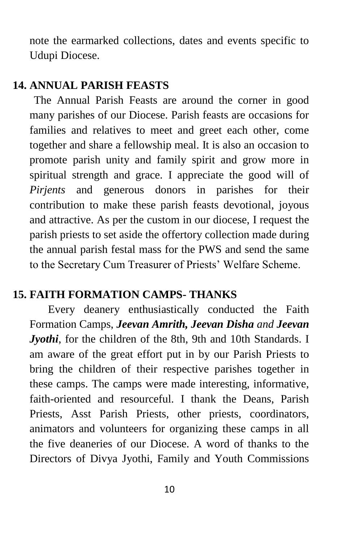note the earmarked collections, dates and events specific to Udupi Diocese.

#### **14. ANNUAL PARISH FEASTS**

The Annual Parish Feasts are around the corner in good many parishes of our Diocese. Parish feasts are occasions for families and relatives to meet and greet each other, come together and share a fellowship meal. It is also an occasion to promote parish unity and family spirit and grow more in spiritual strength and grace. I appreciate the good will of *Pirjents* and generous donors in parishes for their contribution to make these parish feasts devotional, joyous and attractive. As per the custom in our diocese, I request the parish priests to set aside the offertory collection made during the annual parish festal mass for the PWS and send the same to the Secretary Cum Treasurer of Priests' Welfare Scheme.

### **15. FAITH FORMATION CAMPS- THANKS**

Every deanery enthusiastically conducted the Faith Formation Camps, *Jeevan Amrith, Jeevan Disha and Jeevan Jyothi*, for the children of the 8th, 9th and 10th Standards. I am aware of the great effort put in by our Parish Priests to bring the children of their respective parishes together in these camps. The camps were made interesting, informative, faith-oriented and resourceful. I thank the Deans, Parish Priests, Asst Parish Priests, other priests, coordinators, animators and volunteers for organizing these camps in all the five deaneries of our Diocese. A word of thanks to the Directors of Divya Jyothi, Family and Youth Commissions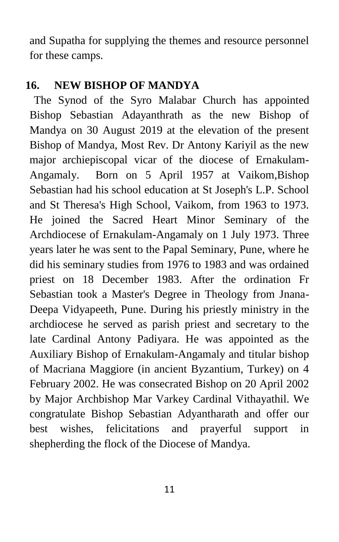and Supatha for supplying the themes and resource personnel for these camps.

#### **16. NEW BISHOP OF MANDYA**

The Synod of the Syro Malabar Church has appointed Bishop Sebastian Adayanthrath as the new Bishop of Mandya on 30 August 2019 at the elevation of the present Bishop of Mandya, Most Rev. Dr Antony Kariyil as the new major archiepiscopal vicar of the diocese of Ernakulam-Angamaly. Born on 5 April 1957 at Vaikom,Bishop Sebastian had his school education at St Joseph's L.P. School and St Theresa's High School, Vaikom, from 1963 to 1973. He joined the Sacred Heart Minor Seminary of the Archdiocese of Ernakulam-Angamaly on 1 July 1973. Three years later he was sent to the Papal Seminary, Pune, where he did his seminary studies from 1976 to 1983 and was ordained priest on 18 December 1983. After the ordination Fr Sebastian took a Master's Degree in Theology from Jnana-Deepa Vidyapeeth, Pune. During his priestly ministry in the archdiocese he served as parish priest and secretary to the late Cardinal Antony Padiyara. He was appointed as the Auxiliary Bishop of Ernakulam-Angamaly and titular bishop of Macriana Maggiore (in ancient Byzantium, Turkey) on 4 February 2002. He was consecrated Bishop on 20 April 2002 by Major Archbishop Mar Varkey Cardinal Vithayathil. We congratulate Bishop Sebastian Adyantharath and offer our best wishes, felicitations and prayerful support in shepherding the flock of the Diocese of Mandya.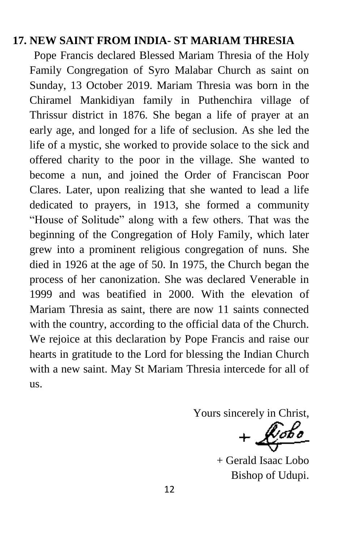### **17. NEW SAINT FROM INDIA- ST MARIAM THRESIA**

Pope Francis declared Blessed Mariam Thresia of the Holy Family Congregation of Syro Malabar Church as saint on Sunday, 13 October 2019. Mariam Thresia was born in the Chiramel Mankidiyan family in Puthenchira village of Thrissur district in 1876. She began a life of prayer at an early age, and longed for a life of seclusion. As she led the life of a mystic, she worked to provide solace to the sick and offered charity to the poor in the village. She wanted to become a nun, and joined the Order of Franciscan Poor Clares. Later, upon realizing that she wanted to lead a life dedicated to prayers, in 1913, she formed a community "House of Solitude" along with a few others. That was the beginning of the Congregation of Holy Family, which later grew into a prominent religious congregation of nuns. She died in 1926 at the age of 50. In 1975, the Church began the process of her canonization. She was declared Venerable in 1999 and was beatified in 2000. With the elevation of Mariam Thresia as saint, there are now 11 saints connected with the country, according to the official data of the Church. We rejoice at this declaration by Pope Francis and raise our hearts in gratitude to the Lord for blessing the Indian Church with a new saint. May St Mariam Thresia intercede for all of us.

Yours sincerely in Christ,<br>+  $\sqrt{\phi_{\theta}\phi_{\theta}}$ 

+ Gerald Isaac Lobo Bishop of Udupi.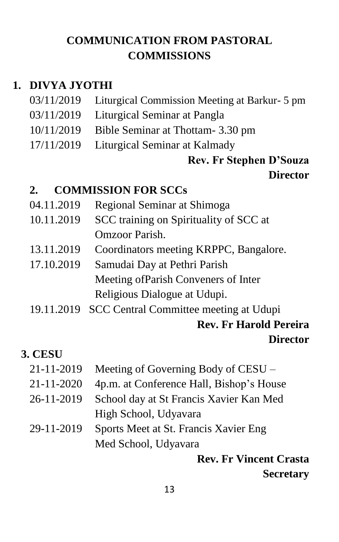## **COMMUNICATION FROM PASTORAL COMMISSIONS**

### **1. DIVYA JYOTHI**

03/11/2019 Liturgical Commission Meeting at Barkur- 5 pm 03/11/2019 Liturgical Seminar at Pangla 10/11/2019 Bible Seminar at Thottam- 3.30 pm 17/11/2019 Liturgical Seminar at Kalmady

## **Rev. Fr Stephen D'Souza Director**

### **2. COMMISSION FOR SCCs**

- 04.11.2019 Regional Seminar at Shimoga
- 10.11.2019 SCC training on Spirituality of SCC at Omzoor Parish.
- 13.11.2019 Coordinators meeting KRPPC, Bangalore.
- 17.10.2019 Samudai Day at Pethri Parish Meeting ofParish Conveners of Inter Religious Dialogue at Udupi.
- 19.11.2019 SCC Central Committee meeting at Udupi **Rev. Fr Harold Pereira**

### **Director**

### **3. CESU**

- 21-11-2019 Meeting of Governing Body of CESU –
- 21-11-2020 4p.m. at Conference Hall, Bishop's House
- 26-11-2019 School day at St Francis Xavier Kan Med High School, Udyavara
- 29-11-2019 Sports Meet at St. Francis Xavier Eng Med School, Udyavara

**Rev. Fr Vincent Crasta Secretary**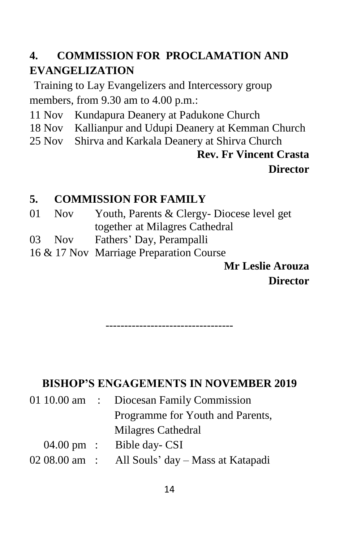# **4. COMMISSION FOR PROCLAMATION AND EVANGELIZATION**

Training to Lay Evangelizers and Intercessory group members, from 9.30 am to 4.00 p.m.:

- 11 Nov Kundapura Deanery at Padukone Church
- 18 Nov Kallianpur and Udupi Deanery at Kemman Church
- 25 Nov Shirva and Karkala Deanery at Shirva Church

# **Rev. Fr Vincent Crasta Director**

# **5. COMMISSION FOR FAMILY**

- 01 Nov Youth, Parents & Clergy- Diocese level get together at Milagres Cathedral
- 03 Nov Fathers' Day, Perampalli
- 16 & 17 Nov Marriage Preparation Course

**Mr Leslie Arouza Director**

----------------------------------

## **BISHOP'S ENGAGEMENTS IN NOVEMBER 2019**

|  | 01 10.00 am : Diocesan Family Commission        |
|--|-------------------------------------------------|
|  | Programme for Youth and Parents,                |
|  | Milagres Cathedral                              |
|  | $04.00 \text{ pm}$ : Bible day-CSI              |
|  | 02 08.00 am : All Souls' day - Mass at Katapadi |